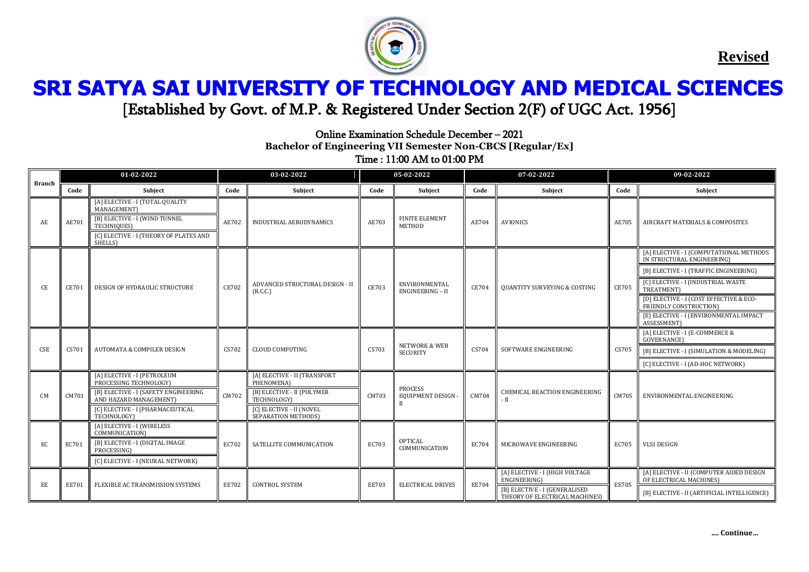

ĺ Ĩ [Established by Govt. of M.P. & Registered Under Section 2(F) of UGC Act. 1956]

Online Examination Schedule December – 2021

**Bachelor of Engineering VII Semester Non-CBCS [Regular/Ex]**

Time : 11:00 AM to 01:00 PM

|               | 01-02-2022 |                                                                                                                                                     | 03-02-2022   |                                                        | 05-02-2022   |                                             | 07-02-2022   |                                                                 | 09-02-2022   |                                                                       |
|---------------|------------|-----------------------------------------------------------------------------------------------------------------------------------------------------|--------------|--------------------------------------------------------|--------------|---------------------------------------------|--------------|-----------------------------------------------------------------|--------------|-----------------------------------------------------------------------|
| <b>Branch</b> | Code       | Subject                                                                                                                                             | Code         | Subject                                                | Code         | Subject                                     | Code         | Subject                                                         | Code         | Subject                                                               |
| AE            | AE701      | [A] ELECTIVE - I (TOTAL QUALITY<br>MANAGEMENT)<br>[B] ELECTIVE - I (WIND TUNNEL<br>TECHNIQUES)<br>[C] ELECTIVE - I (THEORY OF PLATES AND<br>SHELLS) | AE702        | <b>INDUSTRIAL AERODYNAMICS</b>                         | AE703        | <b>FINITE ELEMENT</b><br>METHOD             | AE704        | <b>AVIONICS</b>                                                 | AE705        | AIRCRAFT MATERIALS & COMPOSITES                                       |
| CE            | CE701      | DESIGN OF HYDRAULIC STRUCTURE                                                                                                                       | <b>CE702</b> | ADVANCED STRUCTURAL DESIGN - II<br>(R.C.C.)            | <b>CE703</b> | ENVIRONMENTAL<br><b>ENGINEERING - II</b>    | <b>CE704</b> | QUANTITY SURVEYING & COSTING                                    | CE705        | [A] ELECTIVE - I (COMPUTATIONAL METHODS<br>IN STRUCTURAL ENGINEERING) |
|               |            |                                                                                                                                                     |              |                                                        |              |                                             |              |                                                                 |              | [B] ELECTIVE - I (TRAFFIC ENGINEERING)                                |
|               |            |                                                                                                                                                     |              |                                                        |              |                                             |              |                                                                 |              | [C] ELECTIVE - I (INDUSTRIAL WASTE<br>TREATMENT)                      |
|               |            |                                                                                                                                                     |              |                                                        |              |                                             |              |                                                                 |              | [D] ELECTIVE - I (COST EFFECTIVE & ECO-<br>FRIENDLY CONSTRUCTION)     |
|               |            |                                                                                                                                                     |              |                                                        |              |                                             |              |                                                                 |              | [E] ELECTIVE - I (ENVIRONMENTAL IMPACT<br>ASSESSMENT)                 |
| <b>CSE</b>    | CS701      | AUTOMATA & COMPILER DESIGN                                                                                                                          | CS702        | <b>CLOUD COMPUTING</b>                                 | CS703        | <b>NETWORK &amp; WEB</b><br><b>SECURITY</b> | CS704        | SOFTWARE ENGINEERING                                            | CS705        | [A] ELECTIVE - I (E-COMMERCE &<br><b>GOVERNANCE)</b>                  |
|               |            |                                                                                                                                                     |              |                                                        |              |                                             |              |                                                                 |              | [B] ELECTIVE - I (SIMULATION & MODELING)                              |
|               |            |                                                                                                                                                     |              |                                                        |              |                                             |              |                                                                 |              | [C] ELECTIVE - I (AD-HOC NETWORK)                                     |
| <b>CM</b>     | CM701      | [A] ELECTIVE - I (PETROLEUM<br>PROCESSING TECHNOLOGY)                                                                                               | CM702        | [A] ELECTIVE - II (TRANSPORT<br>PHENOMENA)             | CM703        | PROCESS<br><b>EQUIPMENT DESIGN -</b>        | CM704        | <b>CHEMICAL REACTION ENGINEERING</b><br>- II                    | CM705        | ENVIRONMENTAL ENGINEERING                                             |
|               |            | [B] ELECTIVE - I (SAFETY ENGINEERING<br>AND HAZARD MANAGEMENT)                                                                                      |              | [B] ELECTIVE - II (POLYMER<br>TECHNOLOGY)              |              |                                             |              |                                                                 |              |                                                                       |
|               |            | [C] ELECTIVE - I (PHARMACEUTICAL<br>TECHNOLOGY)                                                                                                     |              | [C] ELECTIVE - II (NOVEL<br><b>SEPARATION METHODS)</b> |              |                                             |              |                                                                 |              |                                                                       |
| EC            | EC701      | [A] ELECTIVE - I (WIRELESS<br>COMMUNICATION)                                                                                                        | EC702        | SATELLITE COMMUNICATION                                | EC703        | OPTICAL<br>COMMUNICATION                    | EC704        | MICROWAVE ENGINEERING                                           | EC705        | <b>VLSI DESIGN</b>                                                    |
|               |            | [B] ELECTIVE - I (DIGITAL IMAGE<br>PROCESSING)                                                                                                      |              |                                                        |              |                                             |              |                                                                 |              |                                                                       |
|               |            | [C] ELECTIVE - I (NEURAL NETWORK)                                                                                                                   |              |                                                        |              |                                             |              |                                                                 |              |                                                                       |
| EE            | EE701      | FLEXIBLE AC TRANSMISSION SYSTEMS                                                                                                                    | <b>EE702</b> | <b>CONTROL SYSTEM</b>                                  | <b>EE703</b> | <b>ELECTRICAL DRIVES</b>                    | <b>EE704</b> | [A] ELECTIVE - I (HIGH VOLTAGE<br>ENGINEERING)                  | <b>EE705</b> | [A] ELECTIVE - II (COMPUTER AIDED DESIGN<br>OF ELECTRICAL MACHINES)   |
|               |            |                                                                                                                                                     |              |                                                        |              |                                             |              | [B] ELECTIVE - I (GENERALISED<br>THEORY OF ELECTRICAL MACHINES) |              | [B] ELECTIVE - II (ARTIFICIAL INTELLIGENCE)                           |



**Revised**